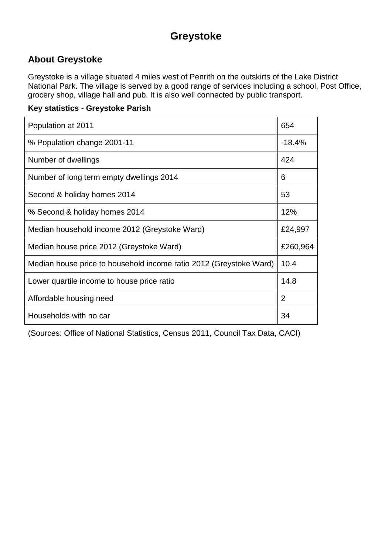# **Greystoke**

#### **About Greystoke**

Greystoke is a village situated 4 miles west of Penrith on the outskirts of the Lake District National Park. The village is served by a good range of services including a school, Post Office, grocery shop, village hall and pub. It is also well connected by public transport.

#### **Key statistics - Greystoke Parish**

| Population at 2011                                                 | 654            |
|--------------------------------------------------------------------|----------------|
| % Population change 2001-11                                        | $-18.4%$       |
| Number of dwellings                                                | 424            |
| Number of long term empty dwellings 2014                           | 6              |
| Second & holiday homes 2014                                        | 53             |
| % Second & holiday homes 2014                                      | 12%            |
| Median household income 2012 (Greystoke Ward)                      | £24,997        |
| Median house price 2012 (Greystoke Ward)                           | £260,964       |
| Median house price to household income ratio 2012 (Greystoke Ward) | 10.4           |
| Lower quartile income to house price ratio                         | 14.8           |
| Affordable housing need                                            | $\overline{2}$ |
| Households with no car                                             | 34             |

(Sources: Office of National Statistics, Census 2011, Council Tax Data, CACI)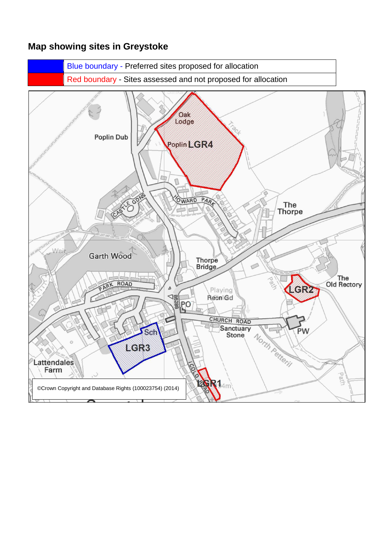#### **Map showing sites in Greystoke**

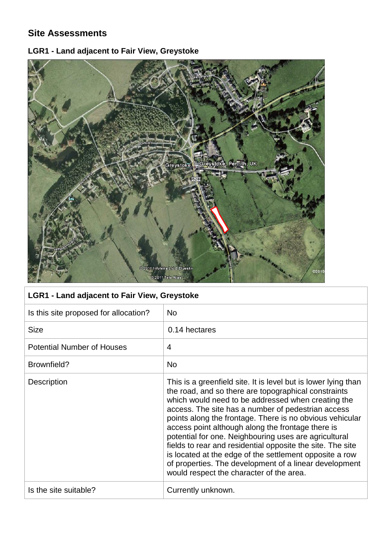#### **Site Assessments**

## **LGR1 - Land adjacent to Fair View, Greystoke**



| <b>LGR1 - Land adjacent to Fair View, Greystoke</b> |                                                                                                                                                                                                                                                                                                                                                                                                                                                                                                                                                                                                                                             |
|-----------------------------------------------------|---------------------------------------------------------------------------------------------------------------------------------------------------------------------------------------------------------------------------------------------------------------------------------------------------------------------------------------------------------------------------------------------------------------------------------------------------------------------------------------------------------------------------------------------------------------------------------------------------------------------------------------------|
| Is this site proposed for allocation?               | N <sub>o</sub>                                                                                                                                                                                                                                                                                                                                                                                                                                                                                                                                                                                                                              |
| <b>Size</b>                                         | 0.14 hectares                                                                                                                                                                                                                                                                                                                                                                                                                                                                                                                                                                                                                               |
| <b>Potential Number of Houses</b>                   | 4                                                                                                                                                                                                                                                                                                                                                                                                                                                                                                                                                                                                                                           |
| Brownfield?                                         | <b>No</b>                                                                                                                                                                                                                                                                                                                                                                                                                                                                                                                                                                                                                                   |
| <b>Description</b>                                  | This is a greenfield site. It is level but is lower lying than<br>the road, and so there are topographical constraints<br>which would need to be addressed when creating the<br>access. The site has a number of pedestrian access<br>points along the frontage. There is no obvious vehicular<br>access point although along the frontage there is<br>potential for one. Neighbouring uses are agricultural<br>fields to rear and residential opposite the site. The site<br>is located at the edge of the settlement opposite a row<br>of properties. The development of a linear development<br>would respect the character of the area. |
| Is the site suitable?                               | Currently unknown.                                                                                                                                                                                                                                                                                                                                                                                                                                                                                                                                                                                                                          |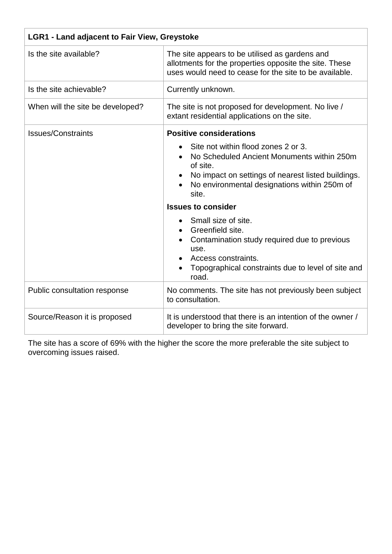| <b>LGR1 - Land adjacent to Fair View, Greystoke</b> |                                                                                                                                                                                                              |
|-----------------------------------------------------|--------------------------------------------------------------------------------------------------------------------------------------------------------------------------------------------------------------|
| Is the site available?                              | The site appears to be utilised as gardens and<br>allotments for the properties opposite the site. These<br>uses would need to cease for the site to be available.                                           |
| Is the site achievable?                             | Currently unknown.                                                                                                                                                                                           |
| When will the site be developed?                    | The site is not proposed for development. No live /<br>extant residential applications on the site.                                                                                                          |
| <b>Issues/Constraints</b>                           | <b>Positive considerations</b>                                                                                                                                                                               |
|                                                     | Site not within flood zones 2 or 3.<br>No Scheduled Ancient Monuments within 250m<br>of site.<br>No impact on settings of nearest listed buildings.<br>No environmental designations within 250m of<br>site. |
|                                                     | <b>Issues to consider</b>                                                                                                                                                                                    |
|                                                     | Small size of site.<br>Greenfield site.<br>$\bullet$<br>Contamination study required due to previous<br>use.<br>Access constraints.<br>Topographical constraints due to level of site and<br>road.           |
| Public consultation response                        | No comments. The site has not previously been subject<br>to consultation.                                                                                                                                    |
| Source/Reason it is proposed                        | It is understood that there is an intention of the owner /<br>developer to bring the site forward.                                                                                                           |

The site has a score of 69% with the higher the score the more preferable the site subject to overcoming issues raised.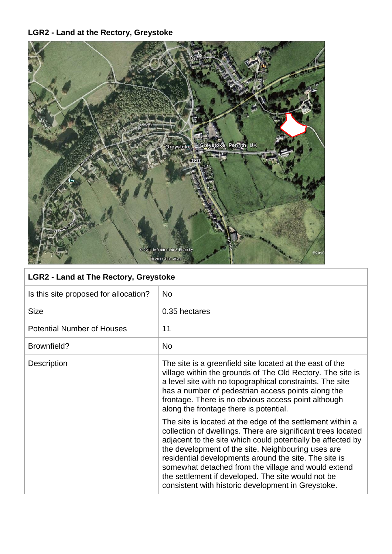# **LGR2 - Land at the Rectory, Greystoke**



| Is this site proposed for allocation? | <b>No</b>                                                                                                                                                                                                                                                                                                                                                                                                                                                                   |
|---------------------------------------|-----------------------------------------------------------------------------------------------------------------------------------------------------------------------------------------------------------------------------------------------------------------------------------------------------------------------------------------------------------------------------------------------------------------------------------------------------------------------------|
| <b>Size</b>                           | 0.35 hectares                                                                                                                                                                                                                                                                                                                                                                                                                                                               |
| <b>Potential Number of Houses</b>     | 11                                                                                                                                                                                                                                                                                                                                                                                                                                                                          |
| Brownfield?                           | <b>No</b>                                                                                                                                                                                                                                                                                                                                                                                                                                                                   |
| Description                           | The site is a greenfield site located at the east of the<br>village within the grounds of The Old Rectory. The site is<br>a level site with no topographical constraints. The site<br>has a number of pedestrian access points along the<br>frontage. There is no obvious access point although<br>along the frontage there is potential.                                                                                                                                   |
|                                       | The site is located at the edge of the settlement within a<br>collection of dwellings. There are significant trees located<br>adjacent to the site which could potentially be affected by<br>the development of the site. Neighbouring uses are<br>residential developments around the site. The site is<br>somewhat detached from the village and would extend<br>the settlement if developed. The site would not be<br>consistent with historic development in Greystoke. |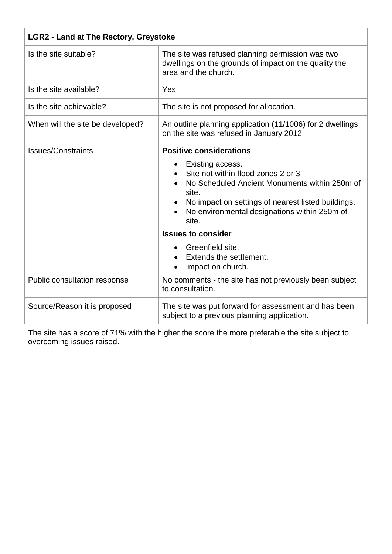| <b>LGR2 - Land at The Rectory, Greystoke</b> |                                                                                                                                                                                                                                                                                                                                                                     |
|----------------------------------------------|---------------------------------------------------------------------------------------------------------------------------------------------------------------------------------------------------------------------------------------------------------------------------------------------------------------------------------------------------------------------|
| Is the site suitable?                        | The site was refused planning permission was two<br>dwellings on the grounds of impact on the quality the<br>area and the church.                                                                                                                                                                                                                                   |
| Is the site available?                       | Yes                                                                                                                                                                                                                                                                                                                                                                 |
| Is the site achievable?                      | The site is not proposed for allocation.                                                                                                                                                                                                                                                                                                                            |
| When will the site be developed?             | An outline planning application (11/1006) for 2 dwellings<br>on the site was refused in January 2012.                                                                                                                                                                                                                                                               |
| <b>Issues/Constraints</b>                    | <b>Positive considerations</b><br>Existing access.<br>Site not within flood zones 2 or 3.<br>No Scheduled Ancient Monuments within 250m of<br>site.<br>No impact on settings of nearest listed buildings.<br>No environmental designations within 250m of<br>site.<br><b>Issues to consider</b><br>Greenfield site.<br>Extends the settlement.<br>Impact on church. |
| Public consultation response                 | No comments - the site has not previously been subject<br>to consultation.                                                                                                                                                                                                                                                                                          |
| Source/Reason it is proposed                 | The site was put forward for assessment and has been<br>subject to a previous planning application.                                                                                                                                                                                                                                                                 |

The site has a score of 71% with the higher the score the more preferable the site subject to overcoming issues raised.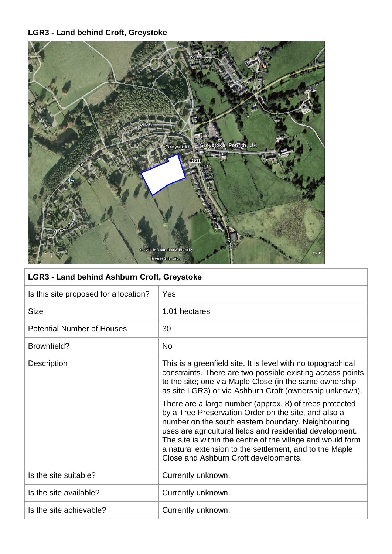## **LGR3 - Land behind Croft, Greystoke**



| LGR3 - Land behind Ashburn Croft, Greystoke |                                                                                                                                                                                                                                                                                                                                                                                                       |
|---------------------------------------------|-------------------------------------------------------------------------------------------------------------------------------------------------------------------------------------------------------------------------------------------------------------------------------------------------------------------------------------------------------------------------------------------------------|
| Is this site proposed for allocation?       | Yes                                                                                                                                                                                                                                                                                                                                                                                                   |
| <b>Size</b>                                 | 1.01 hectares                                                                                                                                                                                                                                                                                                                                                                                         |
| <b>Potential Number of Houses</b>           | 30                                                                                                                                                                                                                                                                                                                                                                                                    |
| Brownfield?                                 | <b>No</b>                                                                                                                                                                                                                                                                                                                                                                                             |
| <b>Description</b>                          | This is a greenfield site. It is level with no topographical<br>constraints. There are two possible existing access points<br>to the site; one via Maple Close (in the same ownership<br>as site LGR3) or via Ashburn Croft (ownership unknown).                                                                                                                                                      |
|                                             | There are a large number (approx. 8) of trees protected<br>by a Tree Preservation Order on the site, and also a<br>number on the south eastern boundary. Neighbouring<br>uses are agricultural fields and residential development.<br>The site is within the centre of the village and would form<br>a natural extension to the settlement, and to the Maple<br>Close and Ashburn Croft developments. |
| Is the site suitable?                       | Currently unknown.                                                                                                                                                                                                                                                                                                                                                                                    |
| Is the site available?                      | Currently unknown.                                                                                                                                                                                                                                                                                                                                                                                    |
| Is the site achievable?                     | Currently unknown.                                                                                                                                                                                                                                                                                                                                                                                    |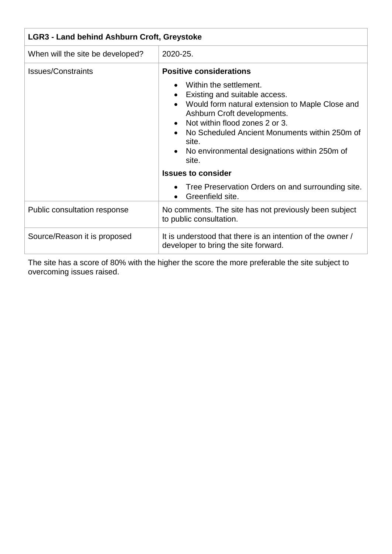| <b>LGR3 - Land behind Ashburn Croft, Greystoke</b> |                                                                                                                                                                                                                                                                                                                                                 |
|----------------------------------------------------|-------------------------------------------------------------------------------------------------------------------------------------------------------------------------------------------------------------------------------------------------------------------------------------------------------------------------------------------------|
| When will the site be developed?                   | 2020-25.                                                                                                                                                                                                                                                                                                                                        |
| <b>Issues/Constraints</b>                          | <b>Positive considerations</b><br>Within the settlement.<br>Existing and suitable access.<br>$\bullet$<br>Would form natural extension to Maple Close and<br>Ashburn Croft developments.<br>Not within flood zones 2 or 3.<br>No Scheduled Ancient Monuments within 250m of<br>site.<br>• No environmental designations within 250m of<br>site. |
|                                                    | <b>Issues to consider</b>                                                                                                                                                                                                                                                                                                                       |
|                                                    | Tree Preservation Orders on and surrounding site.<br>Greenfield site.                                                                                                                                                                                                                                                                           |
| Public consultation response                       | No comments. The site has not previously been subject<br>to public consultation.                                                                                                                                                                                                                                                                |
| Source/Reason it is proposed                       | It is understood that there is an intention of the owner /<br>developer to bring the site forward.                                                                                                                                                                                                                                              |

The site has a score of 80% with the higher the score the more preferable the site subject to overcoming issues raised.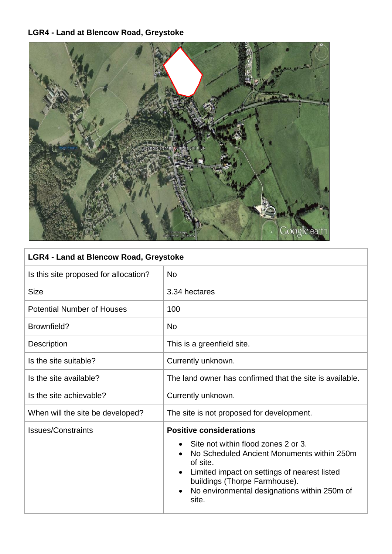## **LGR4 - Land at Blencow Road, Greystoke**



## **LGR4 - Land at Blencow Road, Greystoke**

| <b>No</b>                                                                                                                                                                                                                                                                 |
|---------------------------------------------------------------------------------------------------------------------------------------------------------------------------------------------------------------------------------------------------------------------------|
| 3.34 hectares                                                                                                                                                                                                                                                             |
| 100                                                                                                                                                                                                                                                                       |
| <b>No</b>                                                                                                                                                                                                                                                                 |
| This is a greenfield site.                                                                                                                                                                                                                                                |
| Currently unknown.                                                                                                                                                                                                                                                        |
| The land owner has confirmed that the site is available.                                                                                                                                                                                                                  |
| Currently unknown.                                                                                                                                                                                                                                                        |
| The site is not proposed for development.                                                                                                                                                                                                                                 |
| <b>Positive considerations</b><br>Site not within flood zones 2 or 3.<br>No Scheduled Ancient Monuments within 250m<br>of site.<br>Limited impact on settings of nearest listed<br>buildings (Thorpe Farmhouse).<br>No environmental designations within 250m of<br>site. |
|                                                                                                                                                                                                                                                                           |